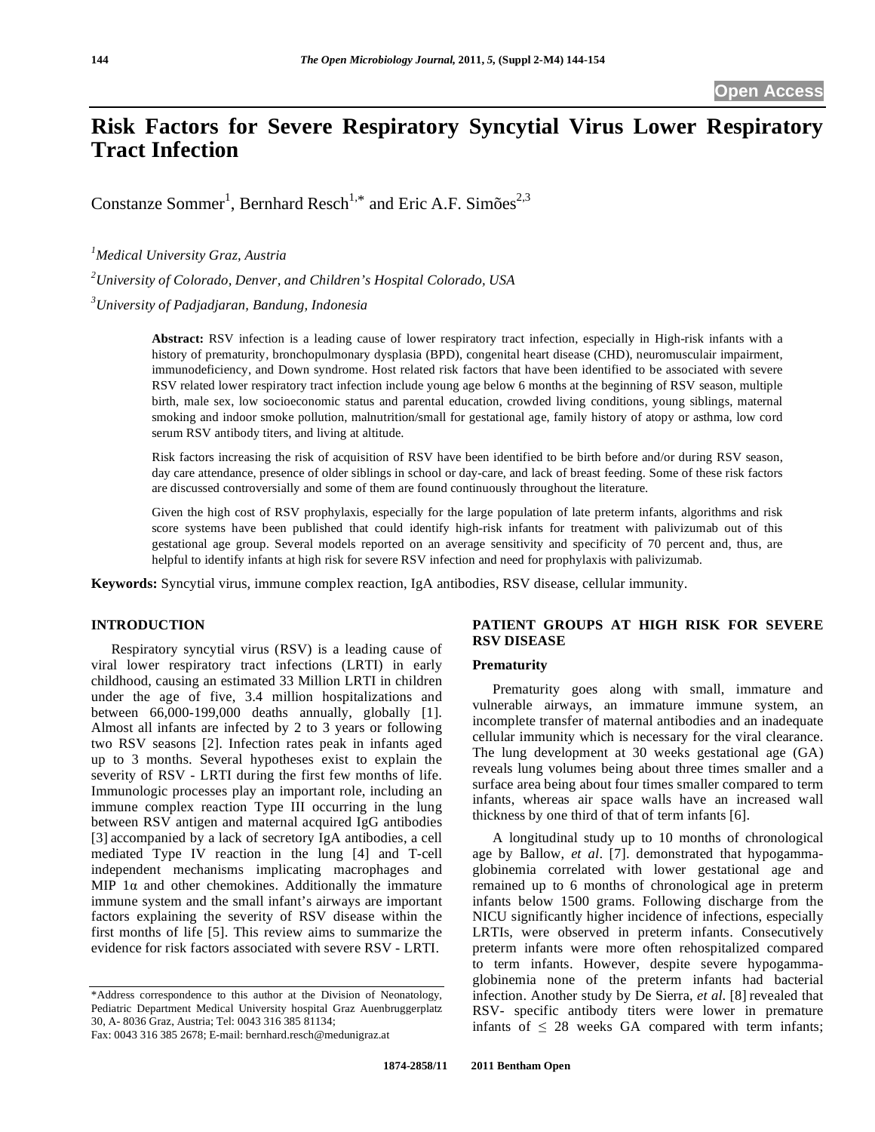# **Risk Factors for Severe Respiratory Syncytial Virus Lower Respiratory Tract Infection**

Constanze Sommer<sup>1</sup>, Bernhard Resch<sup>1,\*</sup> and Eric A.F. Simões<sup>2,3</sup>

*1 Medical University Graz, Austria* 

*2 University of Colorado, Denver, and Children's Hospital Colorado, USA* 

*3 University of Padjadjaran, Bandung, Indonesia* 

**Abstract:** RSV infection is a leading cause of lower respiratory tract infection, especially in High-risk infants with a history of prematurity, bronchopulmonary dysplasia (BPD), congenital heart disease (CHD), neuromusculair impairment, immunodeficiency, and Down syndrome. Host related risk factors that have been identified to be associated with severe RSV related lower respiratory tract infection include young age below 6 months at the beginning of RSV season, multiple birth, male sex, low socioeconomic status and parental education, crowded living conditions, young siblings, maternal smoking and indoor smoke pollution, malnutrition/small for gestational age, family history of atopy or asthma, low cord serum RSV antibody titers, and living at altitude.

Risk factors increasing the risk of acquisition of RSV have been identified to be birth before and/or during RSV season, day care attendance, presence of older siblings in school or day-care, and lack of breast feeding. Some of these risk factors are discussed controversially and some of them are found continuously throughout the literature.

Given the high cost of RSV prophylaxis, especially for the large population of late preterm infants, algorithms and risk score systems have been published that could identify high-risk infants for treatment with palivizumab out of this gestational age group. Several models reported on an average sensitivity and specificity of 70 percent and, thus, are helpful to identify infants at high risk for severe RSV infection and need for prophylaxis with palivizumab.

**Keywords:** Syncytial virus, immune complex reaction, IgA antibodies, RSV disease, cellular immunity.

## **INTRODUCTION**

 Respiratory syncytial virus (RSV) is a leading cause of viral lower respiratory tract infections (LRTI) in early childhood, causing an estimated 33 Million LRTI in children under the age of five, 3.4 million hospitalizations and between 66,000-199,000 deaths annually, globally [1]. Almost all infants are infected by 2 to 3 years or following two RSV seasons [2]. Infection rates peak in infants aged up to 3 months. Several hypotheses exist to explain the severity of RSV - LRTI during the first few months of life. Immunologic processes play an important role, including an immune complex reaction Type III occurring in the lung between RSV antigen and maternal acquired IgG antibodies [3] accompanied by a lack of secretory IgA antibodies, a cell mediated Type IV reaction in the lung [4] and T-cell independent mechanisms implicating macrophages and MIP  $1\alpha$  and other chemokines. Additionally the immature immune system and the small infant's airways are important factors explaining the severity of RSV disease within the first months of life [5]. This review aims to summarize the evidence for risk factors associated with severe RSV - LRTI.

# **PATIENT GROUPS AT HIGH RISK FOR SEVERE RSV DISEASE**

## **Prematurity**

 Prematurity goes along with small, immature and vulnerable airways, an immature immune system, an incomplete transfer of maternal antibodies and an inadequate cellular immunity which is necessary for the viral clearance. The lung development at 30 weeks gestational age (GA) reveals lung volumes being about three times smaller and a surface area being about four times smaller compared to term infants, whereas air space walls have an increased wall thickness by one third of that of term infants [6].

 A longitudinal study up to 10 months of chronological age by Ballow, *et al*. [7]. demonstrated that hypogammaglobinemia correlated with lower gestational age and remained up to 6 months of chronological age in preterm infants below 1500 grams. Following discharge from the NICU significantly higher incidence of infections, especially LRTIs, were observed in preterm infants. Consecutively preterm infants were more often rehospitalized compared to term infants. However, despite severe hypogammaglobinemia none of the preterm infants had bacterial infection. Another study by De Sierra, *et al*. [8] revealed that RSV- specific antibody titers were lower in premature infants of  $\leq 28$  weeks GA compared with term infants;

<sup>\*</sup>Address correspondence to this author at the Division of Neonatology, Pediatric Department Medical University hospital Graz Auenbruggerplatz 30, A- 8036 Graz, Austria; Tel: 0043 316 385 81134;

Fax: 0043 316 385 2678; E-mail: bernhard.resch@medunigraz.at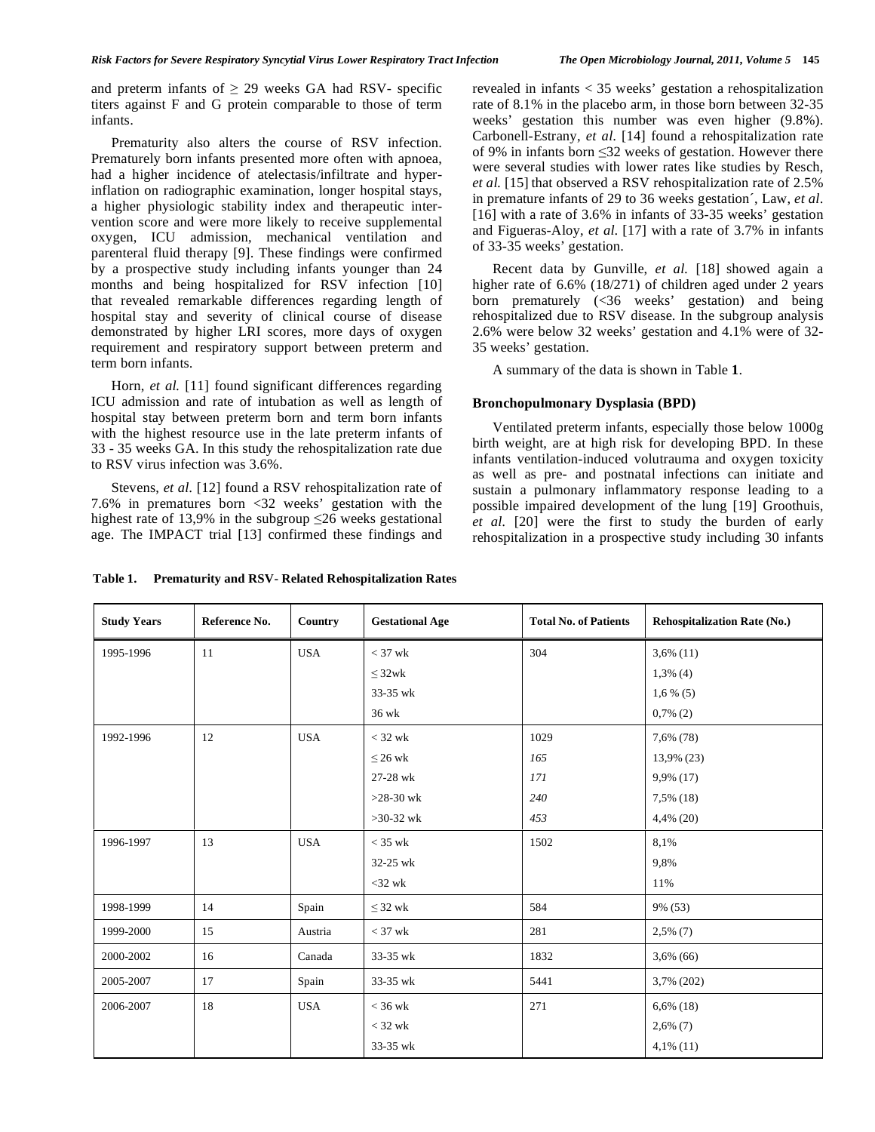and preterm infants of  $\geq$  29 weeks GA had RSV- specific titers against F and G protein comparable to those of term infants.

 Prematurity also alters the course of RSV infection. Prematurely born infants presented more often with apnoea, had a higher incidence of atelectasis/infiltrate and hyperinflation on radiographic examination, longer hospital stays, a higher physiologic stability index and therapeutic intervention score and were more likely to receive supplemental oxygen, ICU admission, mechanical ventilation and parenteral fluid therapy [9]. These findings were confirmed by a prospective study including infants younger than 24 months and being hospitalized for RSV infection [10] that revealed remarkable differences regarding length of hospital stay and severity of clinical course of disease demonstrated by higher LRI scores, more days of oxygen requirement and respiratory support between preterm and term born infants.

Horn, *et al.* [11] found significant differences regarding ICU admission and rate of intubation as well as length of hospital stay between preterm born and term born infants with the highest resource use in the late preterm infants of 33 - 35 weeks GA. In this study the rehospitalization rate due to RSV virus infection was 3.6%.

 Stevens, *et al.* [12] found a RSV rehospitalization rate of 7.6% in prematures born <32 weeks' gestation with the highest rate of 13,9% in the subgroup  $\leq 26$  weeks gestational age. The IMPACT trial [13] confirmed these findings and

revealed in infants < 35 weeks' gestation a rehospitalization rate of 8.1% in the placebo arm, in those born between 32-35 weeks' gestation this number was even higher (9.8%). Carbonell-Estrany, *et al*. [14] found a rehospitalization rate of 9% in infants born 32 weeks of gestation. However there were several studies with lower rates like studies by Resch, *et al.* [15] that observed a RSV rehospitalization rate of 2.5% in premature infants of 29 to 36 weeks gestation´, Law, *et al*. [16] with a rate of 3.6% in infants of 33-35 weeks' gestation and Figueras-Aloy, *et al*. [17] with a rate of 3.7% in infants

 Recent data by Gunville, *et al.* [18] showed again a higher rate of 6.6% (18/271) of children aged under 2 years born prematurely (<36 weeks' gestation) and being rehospitalized due to RSV disease. In the subgroup analysis 2.6% were below 32 weeks' gestation and 4.1% were of 32- 35 weeks' gestation.

A summary of the data is shown in Table **1**.

## **Bronchopulmonary Dysplasia (BPD)**

of 33-35 weeks' gestation.

 Ventilated preterm infants, especially those below 1000g birth weight, are at high risk for developing BPD. In these infants ventilation-induced volutrauma and oxygen toxicity as well as pre- and postnatal infections can initiate and sustain a pulmonary inflammatory response leading to a possible impaired development of the lung [19] Groothuis, *et al.* [20] were the first to study the burden of early rehospitalization in a prospective study including 30 infants

| <b>Study Years</b> | Reference No. | Country    | <b>Gestational Age</b> | <b>Total No. of Patients</b> | <b>Rehospitalization Rate (No.)</b> |
|--------------------|---------------|------------|------------------------|------------------------------|-------------------------------------|
| 1995-1996          | 11            | <b>USA</b> | $<$ 37 wk              | 304                          | $3,6\%$ (11)                        |
|                    |               |            | $\leq 32$ wk           |                              | $1,3\%$ (4)                         |
|                    |               |            | 33-35 wk               |                              | $1,6\%$ (5)                         |
|                    |               |            | $36$ wk                |                              | $0,7\%$ (2)                         |
| 1992-1996          | 12            | <b>USA</b> | $<$ 32 wk              | 1029                         | 7,6% (78)                           |
|                    |               |            | $\leq$ 26 wk           | 165                          | 13,9% (23)                          |
|                    |               |            | 27-28 wk               | 171                          | 9,9% (17)                           |
|                    |               |            | $>28-30$ wk            | 240                          | 7,5% (18)                           |
|                    |               |            | $>30-32$ wk            | 453                          | 4,4% (20)                           |
| 1996-1997          | 13            | <b>USA</b> | $<$ 35 wk              | 1502                         | 8,1%                                |
|                    |               |            | 32-25 wk               |                              | 9,8%                                |
|                    |               |            | $<$ 32 wk              |                              | 11%                                 |
| 1998-1999          | 14            | Spain      | $\leq$ 32 wk           | 584                          | 9% (53)                             |
| 1999-2000          | 15            | Austria    | $<$ 37 wk              | 281                          | $2,5\%$ (7)                         |
| 2000-2002          | 16            | Canada     | 33-35 wk               | 1832                         | $3,6\%$ (66)                        |
| 2005-2007          | 17            | Spain      | 33-35 wk               | 5441                         | 3,7% (202)                          |
| 2006-2007          | 18            | <b>USA</b> | $<$ 36 wk              | 271                          | $6,6\%$ (18)                        |
|                    |               |            | $<$ 32 wk              |                              | $2,6\%$ (7)                         |
|                    |               |            | 33-35 wk               |                              | $4,1\%$ (11)                        |

**Table 1. Prematurity and RSV- Related Rehospitalization Rates**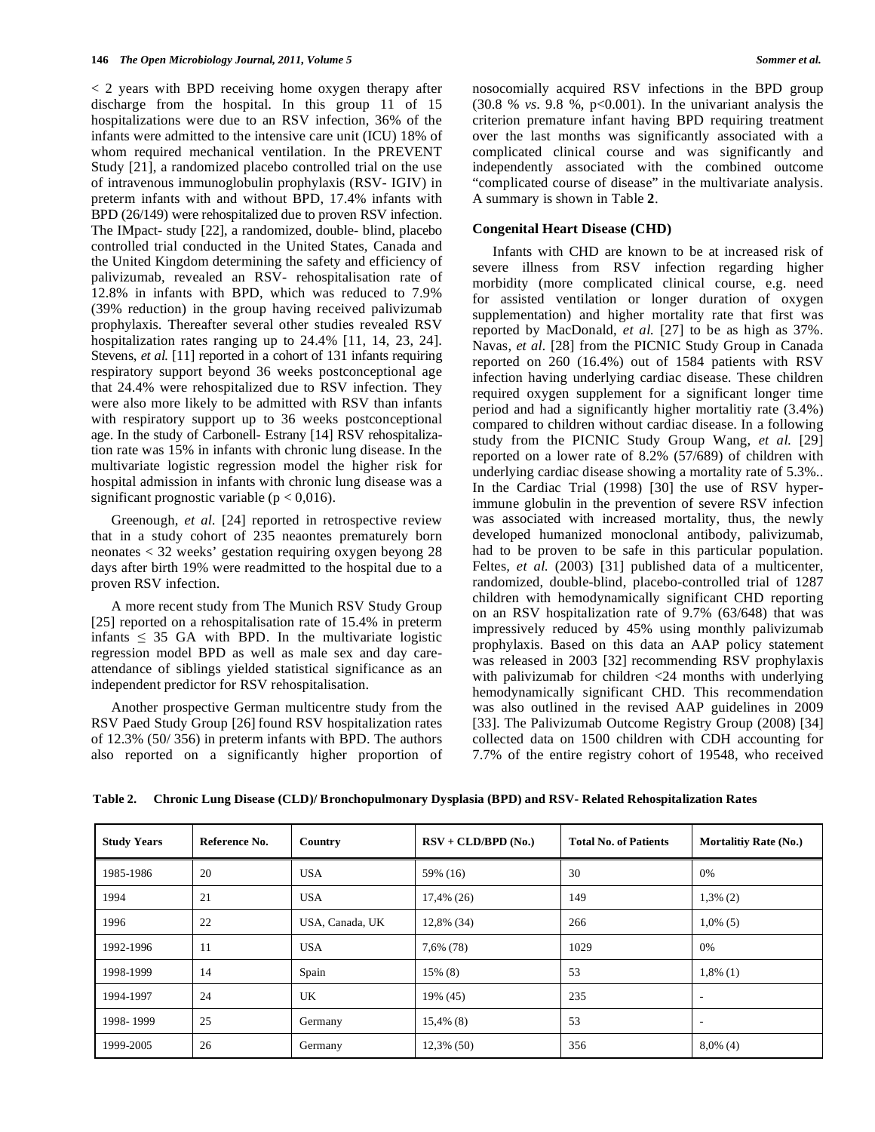< 2 years with BPD receiving home oxygen therapy after discharge from the hospital. In this group 11 of 15 hospitalizations were due to an RSV infection, 36% of the infants were admitted to the intensive care unit (ICU) 18% of whom required mechanical ventilation. In the PREVENT Study [21], a randomized placebo controlled trial on the use of intravenous immunoglobulin prophylaxis (RSV- IGIV) in preterm infants with and without BPD, 17.4% infants with BPD (26/149) were rehospitalized due to proven RSV infection. The IMpact- study [22], a randomized, double- blind, placebo controlled trial conducted in the United States, Canada and the United Kingdom determining the safety and efficiency of palivizumab, revealed an RSV- rehospitalisation rate of 12.8% in infants with BPD, which was reduced to 7.9% (39% reduction) in the group having received palivizumab prophylaxis. Thereafter several other studies revealed RSV hospitalization rates ranging up to 24.4% [11, 14, 23, 24]. Stevens, *et al.* [11] reported in a cohort of 131 infants requiring respiratory support beyond 36 weeks postconceptional age that 24.4% were rehospitalized due to RSV infection. They were also more likely to be admitted with RSV than infants with respiratory support up to 36 weeks postconceptional age. In the study of Carbonell- Estrany [14] RSV rehospitalization rate was 15% in infants with chronic lung disease. In the multivariate logistic regression model the higher risk for hospital admission in infants with chronic lung disease was a significant prognostic variable ( $p < 0.016$ ).

 Greenough, *et al.* [24] reported in retrospective review that in a study cohort of 235 neaontes prematurely born neonates < 32 weeks' gestation requiring oxygen beyong 28 days after birth 19% were readmitted to the hospital due to a proven RSV infection.

 A more recent study from The Munich RSV Study Group [25] reported on a rehospitalisation rate of 15.4% in preterm infants  $\leq$  35 GA with BPD. In the multivariate logistic regression model BPD as well as male sex and day careattendance of siblings yielded statistical significance as an independent predictor for RSV rehospitalisation.

 Another prospective German multicentre study from the RSV Paed Study Group [26] found RSV hospitalization rates of 12.3% (50/ 356) in preterm infants with BPD. The authors also reported on a significantly higher proportion of nosocomially acquired RSV infections in the BPD group (30.8 % *vs*. 9.8 %, p<0.001). In the univariant analysis the criterion premature infant having BPD requiring treatment over the last months was significantly associated with a complicated clinical course and was significantly and independently associated with the combined outcome "complicated course of disease" in the multivariate analysis. A summary is shown in Table **2**.

## **Congenital Heart Disease (CHD)**

 Infants with CHD are known to be at increased risk of severe illness from RSV infection regarding higher morbidity (more complicated clinical course, e.g. need for assisted ventilation or longer duration of oxygen supplementation) and higher mortality rate that first was reported by MacDonald, *et al.* [27] to be as high as 37%. Navas, *et al.* [28] from the PICNIC Study Group in Canada reported on 260 (16.4%) out of 1584 patients with RSV infection having underlying cardiac disease. These children required oxygen supplement for a significant longer time period and had a significantly higher mortalitiy rate (3.4%) compared to children without cardiac disease. In a following study from the PICNIC Study Group Wang, *et al.* [29] reported on a lower rate of 8.2% (57/689) of children with underlying cardiac disease showing a mortality rate of 5.3%.. In the Cardiac Trial (1998) [30] the use of RSV hyperimmune globulin in the prevention of severe RSV infection was associated with increased mortality, thus, the newly developed humanized monoclonal antibody, palivizumab, had to be proven to be safe in this particular population. Feltes, et al. (2003) [31] published data of a multicenter, randomized, double-blind, placebo-controlled trial of 1287 children with hemodynamically significant CHD reporting on an RSV hospitalization rate of 9.7% (63/648) that was impressively reduced by 45% using monthly palivizumab prophylaxis. Based on this data an AAP policy statement was released in 2003 [32] recommending RSV prophylaxis with palivizumab for children <24 months with underlying hemodynamically significant CHD. This recommendation was also outlined in the revised AAP guidelines in 2009 [33]. The Palivizumab Outcome Registry Group (2008) [34] collected data on 1500 children with CDH accounting for 7.7% of the entire registry cohort of 19548, who received

| Table 2. Chronic Lung Disease (CLD)/ Bronchopulmonary Dysplasia (BPD) and RSV- Related Rehospitalization Rates |  |  |
|----------------------------------------------------------------------------------------------------------------|--|--|
|                                                                                                                |  |  |

| <b>Study Years</b> | Reference No. | $RSV + CLD/BPD (No.)$<br>Country |               | <b>Total No. of Patients</b> | <b>Mortalitiy Rate (No.)</b> |
|--------------------|---------------|----------------------------------|---------------|------------------------------|------------------------------|
| 1985-1986          | 20            | <b>USA</b>                       | 59% (16)      | 30                           | 0%                           |
| 1994               | 21            | <b>USA</b>                       | 17,4% (26)    | 149                          | $1,3\%$ (2)                  |
| 1996               | 22            | USA, Canada, UK                  | 12,8% (34)    | 266                          | $1,0\%$ (5)                  |
| 1992-1996          | 11            | <b>USA</b>                       | 7,6% (78)     | 1029                         | 0%                           |
| 1998-1999          | 14            | Spain                            | 15% (8)       | 53                           | $1,8\%$ (1)                  |
| 1994-1997          | 24            | UK                               | 19% (45)      | 235                          | ٠                            |
| 1998-1999          | 25            | Germany                          | $15,4\%$ (8)  | 53                           | ٠                            |
| 1999-2005          | 26            | Germany                          | $12,3\%$ (50) | 356                          | $8,0\%$ (4)                  |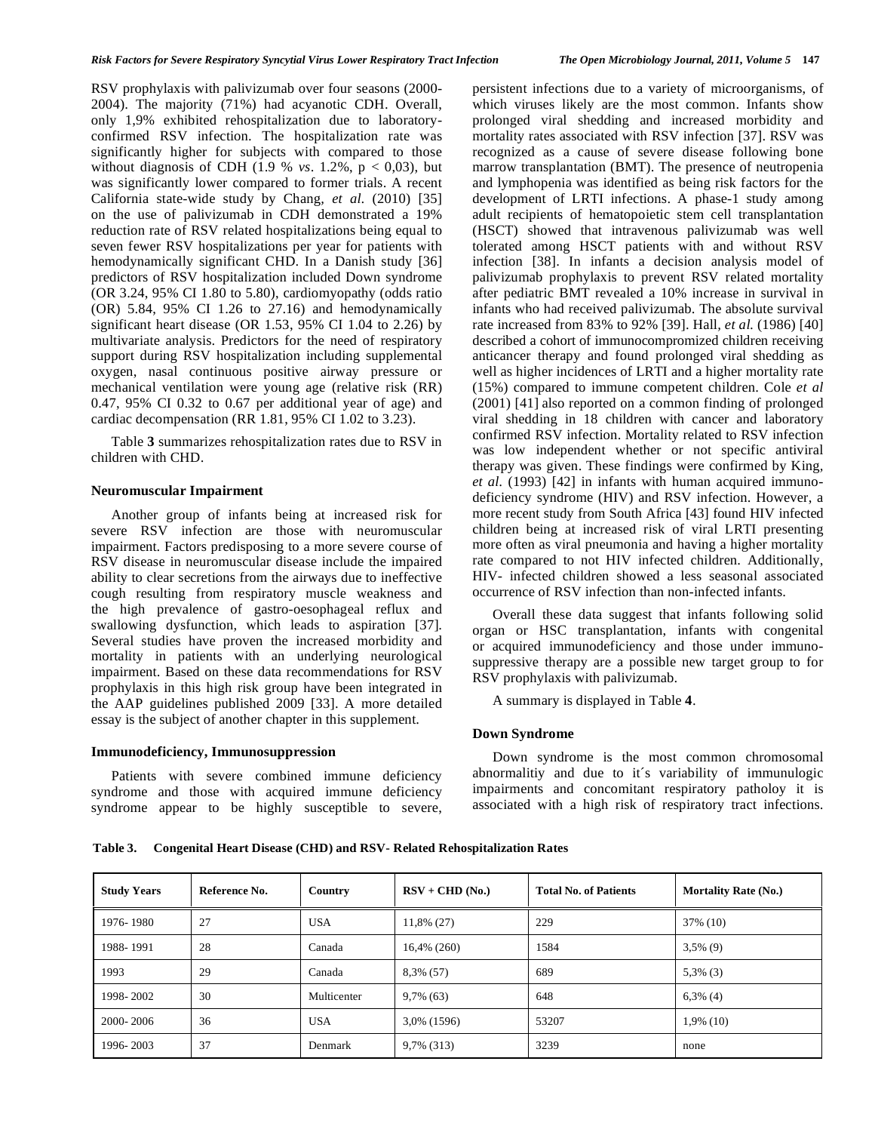RSV prophylaxis with palivizumab over four seasons (2000- 2004). The majority (71%) had acyanotic CDH. Overall, only 1,9% exhibited rehospitalization due to laboratoryconfirmed RSV infection. The hospitalization rate was significantly higher for subjects with compared to those without diagnosis of CDH (1.9 % *vs.* 1.2%,  $p < 0.03$ ), but was significantly lower compared to former trials. A recent California state-wide study by Chang*, et al.* (2010) [35] on the use of palivizumab in CDH demonstrated a 19% reduction rate of RSV related hospitalizations being equal to seven fewer RSV hospitalizations per year for patients with hemodynamically significant CHD. In a Danish study [36] predictors of RSV hospitalization included Down syndrome (OR 3.24, 95% CI 1.80 to 5.80), cardiomyopathy (odds ratio (OR) 5.84, 95% CI 1.26 to 27.16) and hemodynamically significant heart disease (OR 1.53, 95% CI 1.04 to 2.26) by multivariate analysis. Predictors for the need of respiratory support during RSV hospitalization including supplemental oxygen, nasal continuous positive airway pressure or mechanical ventilation were young age (relative risk (RR) 0.47, 95% CI 0.32 to 0.67 per additional year of age) and cardiac decompensation (RR 1.81, 95% CI 1.02 to 3.23).

 Table **3** summarizes rehospitalization rates due to RSV in children with CHD.

## **Neuromuscular Impairment**

 Another group of infants being at increased risk for severe RSV infection are those with neuromuscular impairment. Factors predisposing to a more severe course of RSV disease in neuromuscular disease include the impaired ability to clear secretions from the airways due to ineffective cough resulting from respiratory muscle weakness and the high prevalence of gastro-oesophageal reflux and swallowing dysfunction, which leads to aspiration [37]. Several studies have proven the increased morbidity and mortality in patients with an underlying neurological impairment. Based on these data recommendations for RSV prophylaxis in this high risk group have been integrated in the AAP guidelines published 2009 [33]. A more detailed essay is the subject of another chapter in this supplement.

## **Immunodeficiency, Immunosuppression**

 Patients with severe combined immune deficiency syndrome and those with acquired immune deficiency syndrome appear to be highly susceptible to severe, persistent infections due to a variety of microorganisms, of which viruses likely are the most common. Infants show prolonged viral shedding and increased morbidity and mortality rates associated with RSV infection [37]. RSV was recognized as a cause of severe disease following bone marrow transplantation (BMT). The presence of neutropenia and lymphopenia was identified as being risk factors for the development of LRTI infections. A phase-1 study among adult recipients of hematopoietic stem cell transplantation (HSCT) showed that intravenous palivizumab was well tolerated among HSCT patients with and without RSV infection [38]. In infants a decision analysis model of palivizumab prophylaxis to prevent RSV related mortality after pediatric BMT revealed a 10% increase in survival in infants who had received palivizumab. The absolute survival rate increased from 83% to 92% [39]. Hall*, et al.* (1986) [40] described a cohort of immunocompromized children receiving anticancer therapy and found prolonged viral shedding as well as higher incidences of LRTI and a higher mortality rate (15%) compared to immune competent children. Cole *et al*  (2001) [41] also reported on a common finding of prolonged viral shedding in 18 children with cancer and laboratory confirmed RSV infection. Mortality related to RSV infection was low independent whether or not specific antiviral therapy was given. These findings were confirmed by King*, et al.* (1993) [42] in infants with human acquired immunodeficiency syndrome (HIV) and RSV infection. However, a more recent study from South Africa [43] found HIV infected children being at increased risk of viral LRTI presenting more often as viral pneumonia and having a higher mortality rate compared to not HIV infected children. Additionally, HIV- infected children showed a less seasonal associated occurrence of RSV infection than non-infected infants.

 Overall these data suggest that infants following solid organ or HSC transplantation, infants with congenital or acquired immunodeficiency and those under immunosuppressive therapy are a possible new target group to for RSV prophylaxis with palivizumab.

A summary is displayed in Table **4**.

#### **Down Syndrome**

 Down syndrome is the most common chromosomal abnormalitiy and due to it´s variability of immunulogic impairments and concomitant respiratory patholoy it is associated with a high risk of respiratory tract infections.

**Table 3. Congenital Heart Disease (CHD) and RSV- Related Rehospitalization Rates** 

| <b>Study Years</b> | Reference No. | Country     | $RSV + CHD (No.)$<br><b>Total No. of Patients</b> |       | <b>Mortality Rate (No.)</b> |
|--------------------|---------------|-------------|---------------------------------------------------|-------|-----------------------------|
| 1976-1980          | 27            | <b>USA</b>  | 11,8% (27)                                        | 229   | 37% (10)                    |
| 1988-1991          | 28            | Canada      | $16,4\%$ (260)                                    | 1584  | $3,5\%$ (9)                 |
| 1993               | 29            | Canada      | 8,3% (57)                                         | 689   | $5,3\%$ (3)                 |
| 1998-2002          | 30            | Multicenter | $9,7\%$ (63)                                      | 648   | $6,3\%$ (4)                 |
| 2000-2006          | 36            | <b>USA</b>  | 3,0% (1596)                                       | 53207 | $1,9\%$ (10)                |
| 1996-2003          | 37            | Denmark     | 9,7% (313)                                        | 3239  | none                        |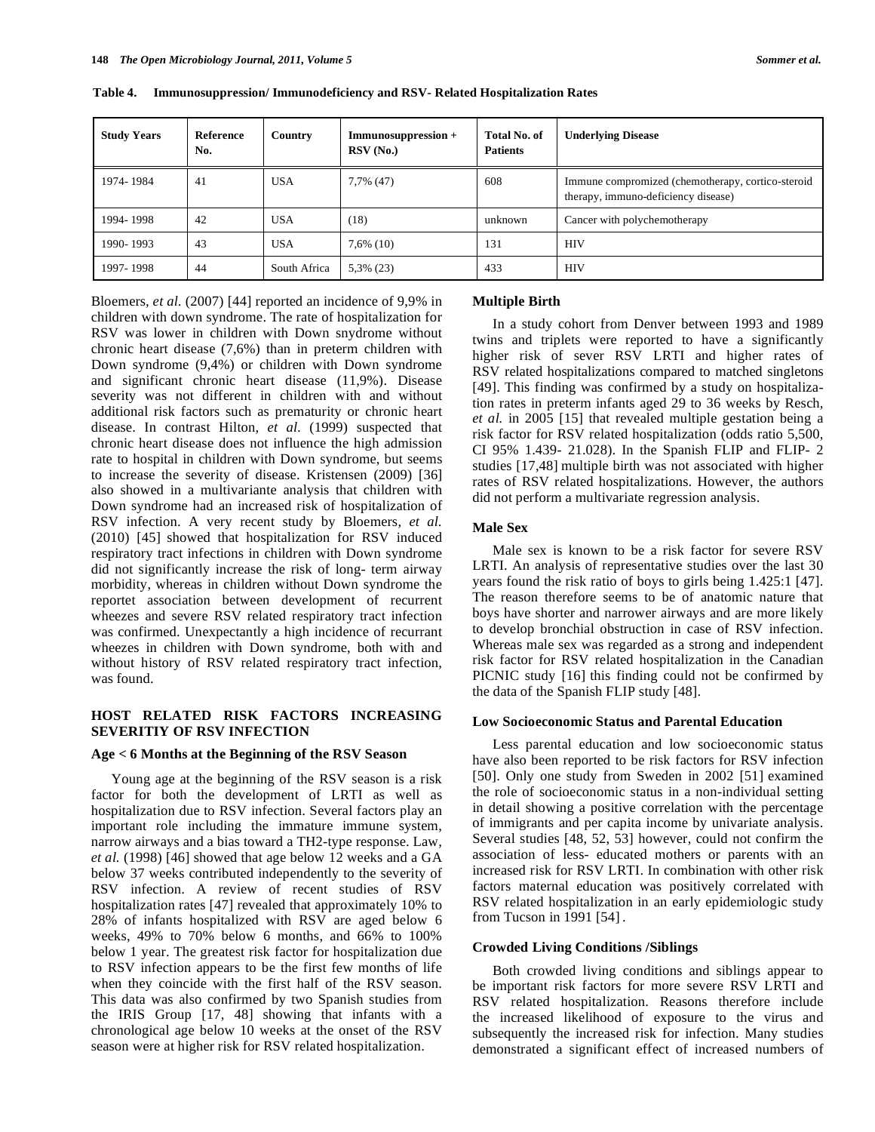| <b>Study Years</b> | <b>Reference</b><br>No. | Country      | Immunosuppression +<br>RSV(No.) | Total No. of<br><b>Patients</b> | <b>Underlying Disease</b>                                                                |
|--------------------|-------------------------|--------------|---------------------------------|---------------------------------|------------------------------------------------------------------------------------------|
| 1974-1984          | 41                      | <b>USA</b>   | 7,7% (47)                       | 608                             | Immune compromized (chemotherapy, cortico-steroid<br>therapy, immuno-deficiency disease) |
| 1994-1998          | 42                      | <b>USA</b>   | (18)                            | unknown                         | Cancer with polychemotherapy                                                             |
| 1990-1993          | 43                      | <b>USA</b>   | $7,6\%$ (10)                    | 131                             | <b>HIV</b>                                                                               |
| 1997-1998          | 44                      | South Africa | $5,3\%$ (23)                    | 433                             | <b>HIV</b>                                                                               |

**Table 4. Immunosuppression/ Immunodeficiency and RSV- Related Hospitalization Rates**

Bloemers*, et al.* (2007) [44] reported an incidence of 9,9% in children with down syndrome. The rate of hospitalization for RSV was lower in children with Down snydrome without chronic heart disease (7,6%) than in preterm children with Down syndrome (9,4%) or children with Down syndrome and significant chronic heart disease (11,9%). Disease severity was not different in children with and without additional risk factors such as prematurity or chronic heart disease. In contrast Hilton*, et al.* (1999) suspected that chronic heart disease does not influence the high admission rate to hospital in children with Down syndrome, but seems to increase the severity of disease. Kristensen (2009) [36] also showed in a multivariante analysis that children with Down syndrome had an increased risk of hospitalization of RSV infection. A very recent study by Bloemers*, et al.* (2010) [45] showed that hospitalization for RSV induced respiratory tract infections in children with Down syndrome did not significantly increase the risk of long- term airway morbidity, whereas in children without Down syndrome the reportet association between development of recurrent wheezes and severe RSV related respiratory tract infection was confirmed. Unexpectantly a high incidence of recurrant wheezes in children with Down syndrome, both with and without history of RSV related respiratory tract infection, was found.

# **HOST RELATED RISK FACTORS INCREASING SEVERITIY OF RSV INFECTION**

## **Age < 6 Months at the Beginning of the RSV Season**

 Young age at the beginning of the RSV season is a risk factor for both the development of LRTI as well as hospitalization due to RSV infection. Several factors play an important role including the immature immune system, narrow airways and a bias toward a TH2-type response. Law*, et al.* (1998) [46] showed that age below 12 weeks and a GA below 37 weeks contributed independently to the severity of RSV infection. A review of recent studies of RSV hospitalization rates [47] revealed that approximately 10% to 28% of infants hospitalized with RSV are aged below 6 weeks, 49% to 70% below 6 months, and 66% to 100% below 1 year. The greatest risk factor for hospitalization due to RSV infection appears to be the first few months of life when they coincide with the first half of the RSV season. This data was also confirmed by two Spanish studies from the IRIS Group [17, 48] showing that infants with a chronological age below 10 weeks at the onset of the RSV season were at higher risk for RSV related hospitalization.

#### **Multiple Birth**

 In a study cohort from Denver between 1993 and 1989 twins and triplets were reported to have a significantly higher risk of sever RSV LRTI and higher rates of RSV related hospitalizations compared to matched singletons [49]. This finding was confirmed by a study on hospitalization rates in preterm infants aged 29 to 36 weeks by Resch*, et al.* in 2005 [15] that revealed multiple gestation being a risk factor for RSV related hospitalization (odds ratio 5,500, CI 95% 1.439- 21.028). In the Spanish FLIP and FLIP- 2 studies [17,48] multiple birth was not associated with higher rates of RSV related hospitalizations. However, the authors did not perform a multivariate regression analysis.

## **Male Sex**

 Male sex is known to be a risk factor for severe RSV LRTI. An analysis of representative studies over the last 30 years found the risk ratio of boys to girls being 1.425:1 [47]. The reason therefore seems to be of anatomic nature that boys have shorter and narrower airways and are more likely to develop bronchial obstruction in case of RSV infection. Whereas male sex was regarded as a strong and independent risk factor for RSV related hospitalization in the Canadian PICNIC study [16] this finding could not be confirmed by the data of the Spanish FLIP study [48].

#### **Low Socioeconomic Status and Parental Education**

 Less parental education and low socioeconomic status have also been reported to be risk factors for RSV infection [50]. Only one study from Sweden in 2002 [51] examined the role of socioeconomic status in a non-individual setting in detail showing a positive correlation with the percentage of immigrants and per capita income by univariate analysis. Several studies [48, 52, 53] however, could not confirm the association of less- educated mothers or parents with an increased risk for RSV LRTI. In combination with other risk factors maternal education was positively correlated with RSV related hospitalization in an early epidemiologic study from Tucson in 1991 [54] .

#### **Crowded Living Conditions /Siblings**

 Both crowded living conditions and siblings appear to be important risk factors for more severe RSV LRTI and RSV related hospitalization. Reasons therefore include the increased likelihood of exposure to the virus and subsequently the increased risk for infection. Many studies demonstrated a significant effect of increased numbers of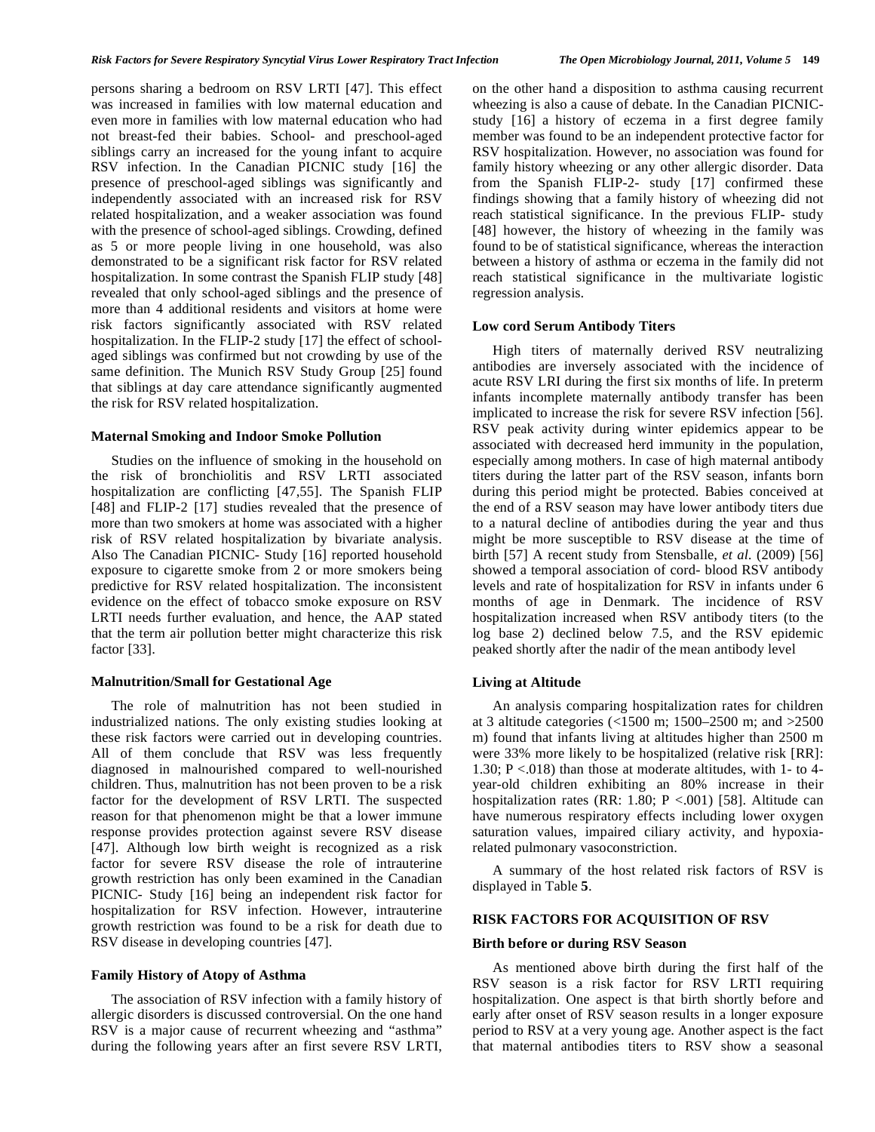persons sharing a bedroom on RSV LRTI [47]. This effect was increased in families with low maternal education and even more in families with low maternal education who had not breast-fed their babies. School- and preschool-aged siblings carry an increased for the young infant to acquire RSV infection. In the Canadian PICNIC study [16] the presence of preschool-aged siblings was significantly and independently associated with an increased risk for RSV related hospitalization, and a weaker association was found with the presence of school-aged siblings. Crowding, defined as 5 or more people living in one household, was also demonstrated to be a significant risk factor for RSV related hospitalization. In some contrast the Spanish FLIP study [48] revealed that only school-aged siblings and the presence of more than 4 additional residents and visitors at home were risk factors significantly associated with RSV related hospitalization. In the FLIP-2 study [17] the effect of schoolaged siblings was confirmed but not crowding by use of the same definition. The Munich RSV Study Group [25] found that siblings at day care attendance significantly augmented the risk for RSV related hospitalization.

#### **Maternal Smoking and Indoor Smoke Pollution**

 Studies on the influence of smoking in the household on the risk of bronchiolitis and RSV LRTI associated hospitalization are conflicting [47,55]. The Spanish FLIP [48] and FLIP-2 [17] studies revealed that the presence of more than two smokers at home was associated with a higher risk of RSV related hospitalization by bivariate analysis. Also The Canadian PICNIC- Study [16] reported household exposure to cigarette smoke from 2 or more smokers being predictive for RSV related hospitalization. The inconsistent evidence on the effect of tobacco smoke exposure on RSV LRTI needs further evaluation, and hence, the AAP stated that the term air pollution better might characterize this risk factor [33].

## **Malnutrition/Small for Gestational Age**

 The role of malnutrition has not been studied in industrialized nations. The only existing studies looking at these risk factors were carried out in developing countries. All of them conclude that RSV was less frequently diagnosed in malnourished compared to well-nourished children. Thus, malnutrition has not been proven to be a risk factor for the development of RSV LRTI. The suspected reason for that phenomenon might be that a lower immune response provides protection against severe RSV disease [47]. Although low birth weight is recognized as a risk factor for severe RSV disease the role of intrauterine growth restriction has only been examined in the Canadian PICNIC- Study [16] being an independent risk factor for hospitalization for RSV infection. However, intrauterine growth restriction was found to be a risk for death due to RSV disease in developing countries [47].

## **Family History of Atopy of Asthma**

 The association of RSV infection with a family history of allergic disorders is discussed controversial. On the one hand RSV is a major cause of recurrent wheezing and "asthma" during the following years after an first severe RSV LRTI, on the other hand a disposition to asthma causing recurrent wheezing is also a cause of debate. In the Canadian PICNICstudy [16] a history of eczema in a first degree family member was found to be an independent protective factor for RSV hospitalization. However, no association was found for family history wheezing or any other allergic disorder. Data from the Spanish FLIP-2- study [17] confirmed these findings showing that a family history of wheezing did not reach statistical significance. In the previous FLIP- study [48] however, the history of wheezing in the family was found to be of statistical significance, whereas the interaction between a history of asthma or eczema in the family did not reach statistical significance in the multivariate logistic regression analysis.

#### **Low cord Serum Antibody Titers**

 High titers of maternally derived RSV neutralizing antibodies are inversely associated with the incidence of acute RSV LRI during the first six months of life. In preterm infants incomplete maternally antibody transfer has been implicated to increase the risk for severe RSV infection [56]. RSV peak activity during winter epidemics appear to be associated with decreased herd immunity in the population, especially among mothers. In case of high maternal antibody titers during the latter part of the RSV season, infants born during this period might be protected. Babies conceived at the end of a RSV season may have lower antibody titers due to a natural decline of antibodies during the year and thus might be more susceptible to RSV disease at the time of birth [57] A recent study from Stensballe*, et al.* (2009) [56] showed a temporal association of cord- blood RSV antibody levels and rate of hospitalization for RSV in infants under 6 months of age in Denmark. The incidence of RSV hospitalization increased when RSV antibody titers (to the log base 2) declined below 7.5, and the RSV epidemic peaked shortly after the nadir of the mean antibody level

## **Living at Altitude**

 An analysis comparing hospitalization rates for children at 3 altitude categories (<1500 m; 1500–2500 m; and >2500 m) found that infants living at altitudes higher than 2500 m were 33% more likely to be hospitalized (relative risk [RR]: 1.30;  $P < 0.018$ ) than those at moderate altitudes, with 1- to 4year-old children exhibiting an 80% increase in their hospitalization rates (RR: 1.80; P <.001) [58]. Altitude can have numerous respiratory effects including lower oxygen saturation values, impaired ciliary activity, and hypoxiarelated pulmonary vasoconstriction.

 A summary of the host related risk factors of RSV is displayed in Table **5**.

## **RISK FACTORS FOR ACQUISITION OF RSV**

## **Birth before or during RSV Season**

 As mentioned above birth during the first half of the RSV season is a risk factor for RSV LRTI requiring hospitalization. One aspect is that birth shortly before and early after onset of RSV season results in a longer exposure period to RSV at a very young age. Another aspect is the fact that maternal antibodies titers to RSV show a seasonal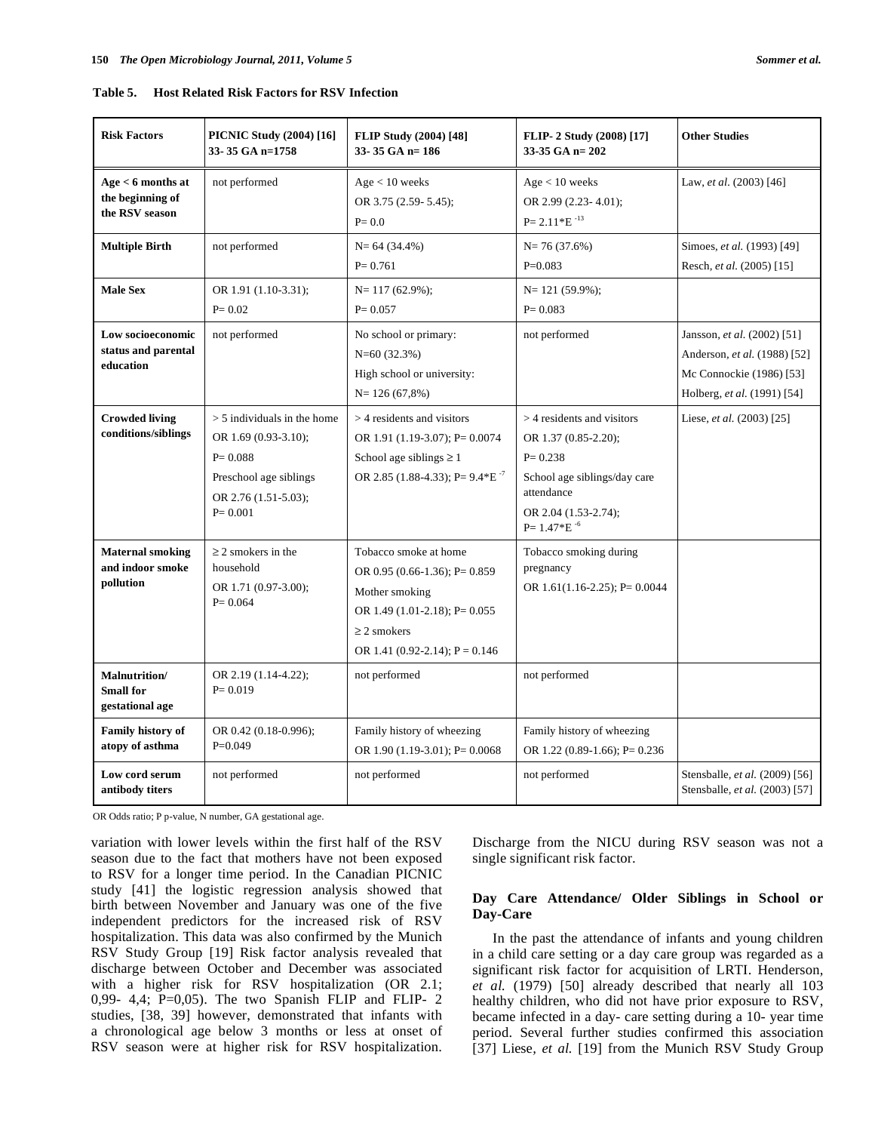| Table 5. | <b>Host Related Risk Factors for RSV Infection</b> |  |  |
|----------|----------------------------------------------------|--|--|
|          |                                                    |  |  |

| <b>Risk Factors</b>                                      | <b>PICNIC Study (2004) [16]</b><br>33-35 GA n=1758                                                                                    | <b>FLIP Study (2004)</b> [48]<br>$33-35$ GA n= 186                                                                                                                  | FLIP- 2 Study (2008) [17]<br>33-35 GA $n=202$                                                                                                                  | <b>Other Studies</b>                                                                                                   |
|----------------------------------------------------------|---------------------------------------------------------------------------------------------------------------------------------------|---------------------------------------------------------------------------------------------------------------------------------------------------------------------|----------------------------------------------------------------------------------------------------------------------------------------------------------------|------------------------------------------------------------------------------------------------------------------------|
| Age < 6 months at<br>the beginning of<br>the RSV season  | not performed                                                                                                                         | Age < 10 weeks<br>OR 3.75 (2.59- 5.45);<br>$P = 0.0$                                                                                                                | Age < 10 weeks<br>OR 2.99 (2.23-4.01);<br>$P = 2.11 * E^{-13}$                                                                                                 | Law, et al. (2003) [46]                                                                                                |
| <b>Multiple Birth</b>                                    | not performed                                                                                                                         | $N = 64(34.4\%)$<br>$P = 0.761$                                                                                                                                     | $N = 76(37.6%)$<br>$P=0.083$                                                                                                                                   | Simoes, et al. (1993) [49]<br>Resch, et al. (2005) [15]                                                                |
| <b>Male Sex</b>                                          | OR 1.91 (1.10-3.31);<br>$P = 0.02$                                                                                                    | $N=117(62.9\%)$ ;<br>$P = 0.057$                                                                                                                                    | $N=121(59.9\%)$ ;<br>$P = 0.083$                                                                                                                               |                                                                                                                        |
| Low socioeconomic<br>status and parental<br>education    | not performed                                                                                                                         | No school or primary:<br>$N=60(32.3%)$<br>High school or university:<br>$N = 126(67,8%)$                                                                            | not performed                                                                                                                                                  | Jansson, et al. (2002) [51]<br>Anderson, et al. (1988) [52]<br>Mc Connockie (1986) [53]<br>Holberg, et al. (1991) [54] |
| <b>Crowded living</b><br>conditions/siblings             | $>$ 5 individuals in the home<br>OR 1.69 (0.93-3.10);<br>$P = 0.088$<br>Preschool age siblings<br>OR 2.76 (1.51-5.03);<br>$P = 0.001$ | $>$ 4 residents and visitors<br>OR 1.91 (1.19-3.07); P= $0.0074$<br>School age siblings $\geq 1$<br>OR 2.85 (1.88-4.33); P= $9.4*E^{-7}$                            | $>$ 4 residents and visitors<br>OR 1.37 (0.85-2.20);<br>$P = 0.238$<br>School age siblings/day care<br>attendance<br>OR 2.04 (1.53-2.74);<br>$P = 1.47*E^{-6}$ | Liese, et al. (2003) [25]                                                                                              |
| <b>Maternal smoking</b><br>and indoor smoke<br>pollution | $\geq$ 2 smokers in the<br>household<br>OR 1.71 (0.97-3.00);<br>$P = 0.064$                                                           | Tobacco smoke at home<br>OR 0.95 (0.66-1.36); P= 0.859<br>Mother smoking<br>OR 1.49 (1.01-2.18); P= $0.055$<br>$\geq$ 2 smokers<br>OR 1.41 (0.92-2.14); $P = 0.146$ | Tobacco smoking during<br>pregnancy<br>OR $1.61(1.16-2.25)$ ; P= 0.0044                                                                                        |                                                                                                                        |
| Malnutrition/<br><b>Small</b> for<br>gestational age     | OR 2.19 (1.14-4.22);<br>$P = 0.019$                                                                                                   | not performed                                                                                                                                                       | not performed                                                                                                                                                  |                                                                                                                        |
| <b>Family history of</b><br>atopy of asthma              | OR 0.42 (0.18-0.996);<br>$P=0.049$                                                                                                    | Family history of wheezing<br>OR 1.90 $(1.19-3.01)$ ; P= 0.0068                                                                                                     | Family history of wheezing<br>OR 1.22 $(0.89-1.66)$ ; P= 0.236                                                                                                 |                                                                                                                        |
| Low cord serum<br>antibody titers                        | not performed                                                                                                                         | not performed                                                                                                                                                       | not performed                                                                                                                                                  | Stensballe, et al. (2009) [56]<br>Stensballe, et al. (2003) [57]                                                       |

OR Odds ratio; P p-value, N number, GA gestational age.

variation with lower levels within the first half of the RSV season due to the fact that mothers have not been exposed to RSV for a longer time period. In the Canadian PICNIC study [41] the logistic regression analysis showed that birth between November and January was one of the five independent predictors for the increased risk of RSV hospitalization. This data was also confirmed by the Munich RSV Study Group [19] Risk factor analysis revealed that discharge between October and December was associated with a higher risk for RSV hospitalization (OR 2.1; 0,99- 4,4; P=0,05). The two Spanish FLIP and FLIP- 2 studies, [38, 39] however, demonstrated that infants with a chronological age below 3 months or less at onset of RSV season were at higher risk for RSV hospitalization.

Discharge from the NICU during RSV season was not a single significant risk factor.

# **Day Care Attendance/ Older Siblings in School or Day-Care**

 In the past the attendance of infants and young children in a child care setting or a day care group was regarded as a significant risk factor for acquisition of LRTI. Henderson*, et al.* (1979) [50] already described that nearly all 103 healthy children, who did not have prior exposure to RSV, became infected in a day- care setting during a 10- year time period. Several further studies confirmed this association [37] Liese, et al. [19] from the Munich RSV Study Group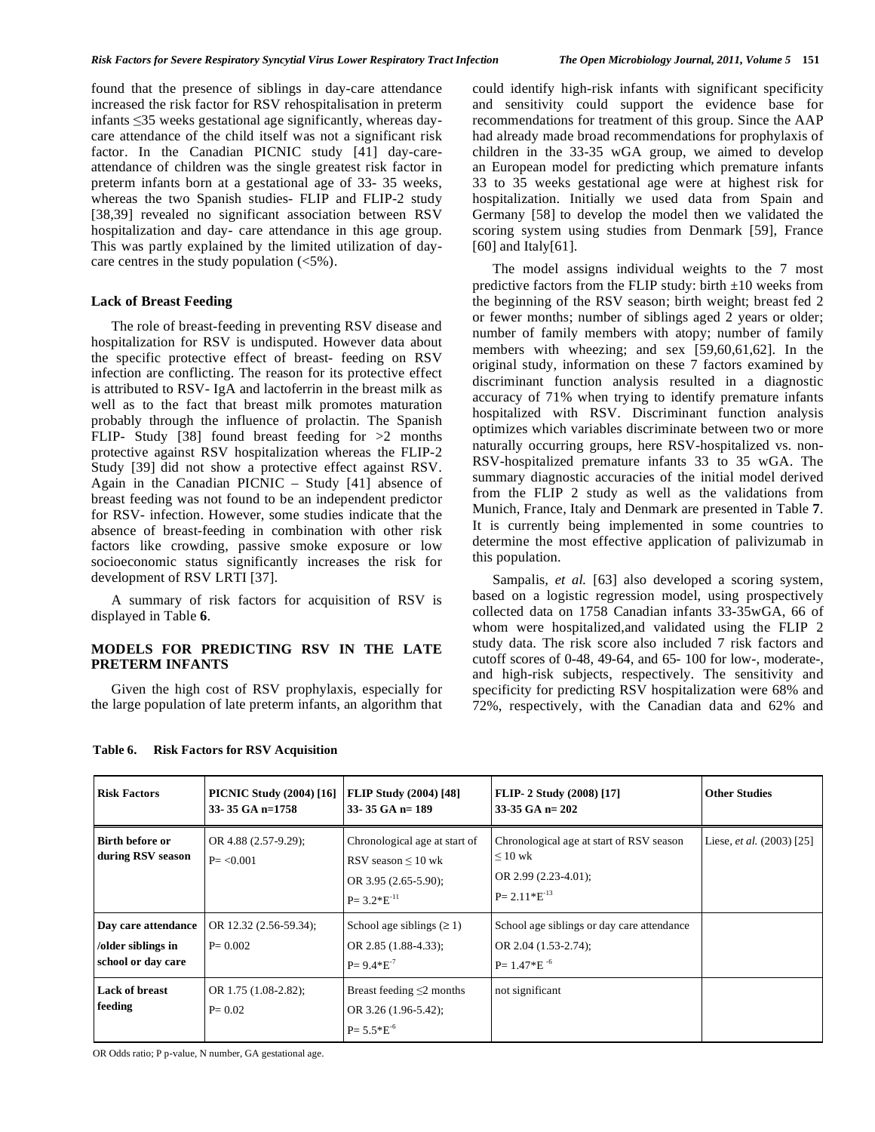found that the presence of siblings in day-care attendance increased the risk factor for RSV rehospitalisation in preterm infants  $\leq$ 35 weeks gestational age significantly, whereas daycare attendance of the child itself was not a significant risk factor. In the Canadian PICNIC study [41] day-careattendance of children was the single greatest risk factor in preterm infants born at a gestational age of 33- 35 weeks, whereas the two Spanish studies- FLIP and FLIP-2 study [38,39] revealed no significant association between RSV hospitalization and day- care attendance in this age group. This was partly explained by the limited utilization of daycare centres in the study population (<5%).

#### **Lack of Breast Feeding**

 The role of breast-feeding in preventing RSV disease and hospitalization for RSV is undisputed. However data about the specific protective effect of breast- feeding on RSV infection are conflicting. The reason for its protective effect is attributed to RSV- IgA and lactoferrin in the breast milk as well as to the fact that breast milk promotes maturation probably through the influence of prolactin. The Spanish FLIP- Study [38] found breast feeding for  $>2$  months protective against RSV hospitalization whereas the FLIP-2 Study [39] did not show a protective effect against RSV. Again in the Canadian PICNIC – Study [41] absence of breast feeding was not found to be an independent predictor for RSV- infection. However, some studies indicate that the absence of breast-feeding in combination with other risk factors like crowding, passive smoke exposure or low socioeconomic status significantly increases the risk for development of RSV LRTI [37].

 A summary of risk factors for acquisition of RSV is displayed in Table **6**.

## **MODELS FOR PREDICTING RSV IN THE LATE PRETERM INFANTS**

 Given the high cost of RSV prophylaxis, especially for the large population of late preterm infants, an algorithm that could identify high-risk infants with significant specificity and sensitivity could support the evidence base for recommendations for treatment of this group. Since the AAP had already made broad recommendations for prophylaxis of children in the 33-35 wGA group, we aimed to develop an European model for predicting which premature infants 33 to 35 weeks gestational age were at highest risk for hospitalization. Initially we used data from Spain and Germany [58] to develop the model then we validated the scoring system using studies from Denmark [59], France [60] and Italy[61].

 The model assigns individual weights to the 7 most predictive factors from the FLIP study: birth  $\pm 10$  weeks from the beginning of the RSV season; birth weight; breast fed 2 or fewer months; number of siblings aged 2 years or older; number of family members with atopy; number of family members with wheezing; and sex [59,60,61,62]. In the original study, information on these 7 factors examined by discriminant function analysis resulted in a diagnostic accuracy of 71% when trying to identify premature infants hospitalized with RSV. Discriminant function analysis optimizes which variables discriminate between two or more naturally occurring groups, here RSV-hospitalized vs. non-RSV-hospitalized premature infants 33 to 35 wGA. The summary diagnostic accuracies of the initial model derived from the FLIP 2 study as well as the validations from Munich, France, Italy and Denmark are presented in Table **7**. It is currently being implemented in some countries to determine the most effective application of palivizumab in this population.

 Sampalis*, et al.* [63] also developed a scoring system, based on a logistic regression model, using prospectively collected data on 1758 Canadian infants 33-35wGA, 66 of whom were hospitalized,and validated using the FLIP 2 study data. The risk score also included 7 risk factors and cutoff scores of 0-48, 49-64, and 65- 100 for low-, moderate-, and high-risk subjects, respectively. The sensitivity and specificity for predicting RSV hospitalization were 68% and 72%, respectively, with the Canadian data and 62% and

| <b>Risk Factors</b>                                             | <b>PICNIC Study (2004) [16]</b><br>33-35 GA n=1758 | <b>FLIP Study (2004) [48]</b><br>33-35 GA $n=189$                                                     | FLIP- 2 Study (2008) [17]<br>33-35 GA $n = 202$                                                           | <b>Other Studies</b>               |
|-----------------------------------------------------------------|----------------------------------------------------|-------------------------------------------------------------------------------------------------------|-----------------------------------------------------------------------------------------------------------|------------------------------------|
| Birth before or<br>during RSV season                            | OR 4.88 $(2.57-9.29)$ ;<br>$P = < 0.001$           | Chronological age at start of<br>RSV season $\leq 10$ wk<br>OR 3.95 (2.65-5.90);<br>$P = 3.2*E^{-11}$ | Chronological age at start of RSV season<br>$\leq 10$ wk<br>OR 2.99 $(2.23-4.01)$ ;<br>$P = 2.11*E^{-13}$ | Liese, <i>et al.</i> $(2003)$ [25] |
| Day care attendance<br>/older siblings in<br>school or day care | OR 12.32 (2.56-59.34);<br>$P = 0.002$              | School age siblings $(≥ 1)$<br>OR 2.85 (1.88-4.33);<br>$P = 9.4*E^{-7}$                               | School age siblings or day care attendance<br>OR 2.04 (1.53-2.74);<br>$P = 1.47*E^{-6}$                   |                                    |
| <b>Lack of breast</b><br>feeding                                | OR 1.75 (1.08-2.82);<br>$P = 0.02$                 | Breast feeding $\leq$ 2 months<br>OR 3.26 (1.96-5.42);<br>$P = 5.5 * E^{-6}$                          | not significant                                                                                           |                                    |

#### **Table 6. Risk Factors for RSV Acquisition**

OR Odds ratio; P p-value, N number, GA gestational age.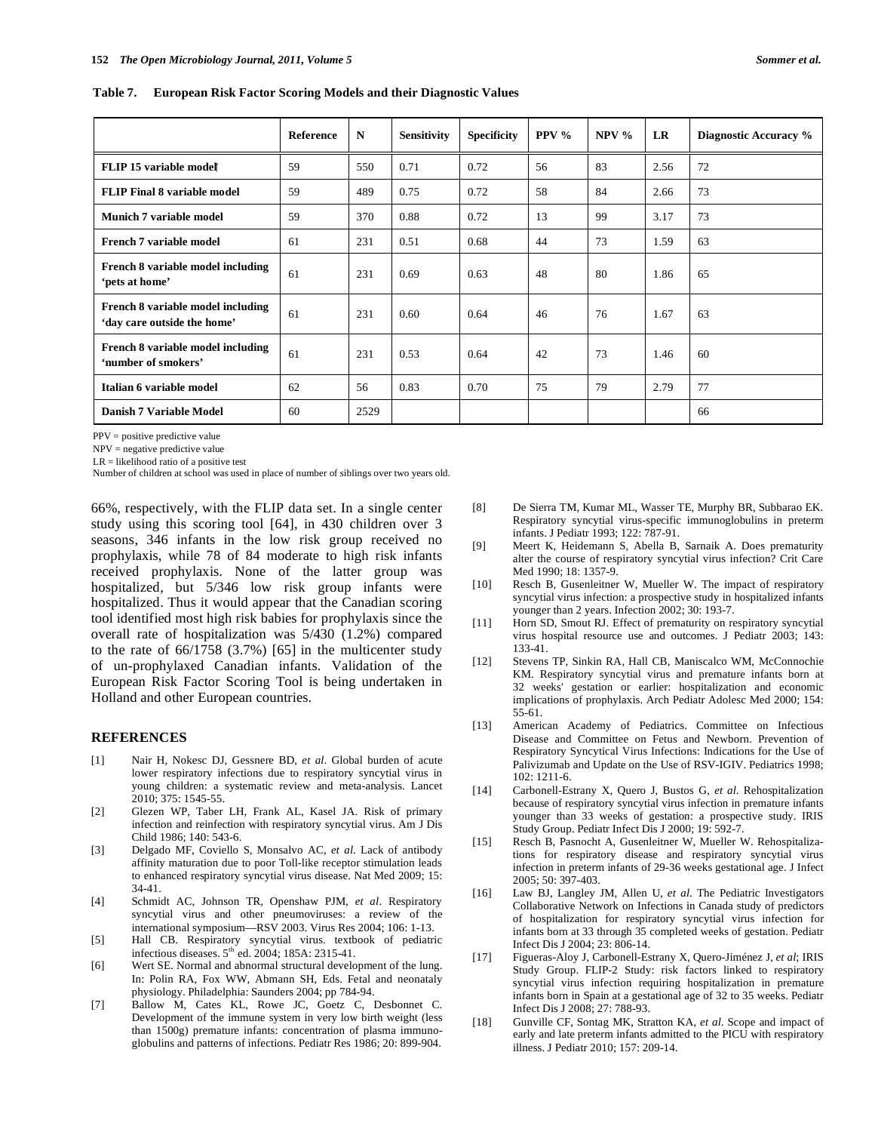**Table 7. European Risk Factor Scoring Models and their Diagnostic Values** 

|                                                                  | Reference | N    | <b>Sensitivity</b> | <b>Specificity</b> | PPV $\%$ | $NPV$ % | LR   | Diagnostic Accuracy % |
|------------------------------------------------------------------|-----------|------|--------------------|--------------------|----------|---------|------|-----------------------|
| FLIP 15 variable model                                           | 59        | 550  | 0.71               | 0.72               | 56       | 83      | 2.56 | 72                    |
| <b>FLIP Final 8 variable model</b>                               | 59        | 489  | 0.75               | 0.72               | 58       | 84      | 2.66 | 73                    |
| <b>Munich 7 variable model</b>                                   | 59        | 370  | 0.88               | 0.72               | 13       | 99      | 3.17 | 73                    |
| French 7 variable model                                          | 61        | 231  | 0.51               | 0.68               | 44       | 73      | 1.59 | 63                    |
| French 8 variable model including<br>'pets at home'              | 61        | 231  | 0.69               | 0.63               | 48       | 80      | 1.86 | 65                    |
| French 8 variable model including<br>'day care outside the home' | 61        | 231  | 0.60               | 0.64               | 46       | 76      | 1.67 | 63                    |
| French 8 variable model including<br>'number of smokers'         | 61        | 231  | 0.53               | 0.64               | 42       | 73      | 1.46 | 60                    |
| Italian 6 variable model                                         | 62        | 56   | 0.83               | 0.70               | 75       | 79      | 2.79 | 77                    |
| Danish 7 Variable Model                                          | 60        | 2529 |                    |                    |          |         |      | 66                    |

PPV = positive predictive value

NPV = negative predictive value

 $LR = likelihood ratio of a positive test$ 

Number of children at school was used in place of number of siblings over two years old.

66%, respectively, with the FLIP data set. In a single center study using this scoring tool [64], in 430 children over 3 seasons, 346 infants in the low risk group received no prophylaxis, while 78 of 84 moderate to high risk infants received prophylaxis. None of the latter group was hospitalized, but 5/346 low risk group infants were hospitalized. Thus it would appear that the Canadian scoring tool identified most high risk babies for prophylaxis since the overall rate of hospitalization was 5/430 (1.2%) compared to the rate of 66/1758 (3.7%) [65] in the multicenter study of un-prophylaxed Canadian infants. Validation of the European Risk Factor Scoring Tool is being undertaken in Holland and other European countries.

#### **REFERENCES**

- [1] Nair H, Nokesc DJ, Gessnere BD, *et al*. Global burden of acute lower respiratory infections due to respiratory syncytial virus in young children: a systematic review and meta-analysis. Lancet 2010; 375: 1545-55.
- [2] Glezen WP, Taber LH, Frank AL, Kasel JA. Risk of primary infection and reinfection with respiratory syncytial virus. Am J Dis Child 1986; 140: 543-6.
- [3] Delgado MF, Coviello S, Monsalvo AC, *et al*. Lack of antibody affinity maturation due to poor Toll-like receptor stimulation leads to enhanced respiratory syncytial virus disease. Nat Med 2009; 15: 34-41.
- [4] Schmidt AC, Johnson TR, Openshaw PJM*, et al*. Respiratory syncytial virus and other pneumoviruses: a review of the international symposium—RSV 2003. Virus Res 2004; 106: 1-13.
- [5] Hall CB. Respiratory syncytial virus. textbook of pediatric infectious diseases.  $5<sup>th</sup>$  ed. 2004; 185A: 2315-41.
- [6] Wert SE. Normal and abnormal structural development of the lung. In: Polin RA, Fox WW, Abmann SH, Eds. Fetal and neonataly physiology. Philadelphia: Saunders 2004; pp 784-94.
- [7] Ballow M, Cates KL, Rowe JC, Goetz C, Desbonnet C. Development of the immune system in very low birth weight (less than 1500g) premature infants: concentration of plasma immunoglobulins and patterns of infections. Pediatr Res 1986; 20: 899-904.
- [8] De Sierra TM, Kumar ML, Wasser TE, Murphy BR, Subbarao EK. Respiratory syncytial virus-specific immunoglobulins in preterm infants. J Pediatr 1993; 122: 787-91.
- [9] Meert K, Heidemann S, Abella B, Sarnaik A. Does prematurity alter the course of respiratory syncytial virus infection? Crit Care Med 1990; 18: 1357-9.
- [10] Resch B, Gusenleitner W, Mueller W. The impact of respiratory syncytial virus infection: a prospective study in hospitalized infants younger than 2 years. Infection 2002; 30: 193-7.
- [11] Horn SD, Smout RJ. Effect of prematurity on respiratory syncytial virus hospital resource use and outcomes. J Pediatr 2003; 143: 133-41.
- [12] Stevens TP, Sinkin RA, Hall CB, Maniscalco WM, McConnochie KM. Respiratory syncytial virus and premature infants born at 32 weeks' gestation or earlier: hospitalization and economic implications of prophylaxis. Arch Pediatr Adolesc Med 2000; 154: 55-61.
- [13] American Academy of Pediatrics. Committee on Infectious Disease and Committee on Fetus and Newborn. Prevention of Respiratory Syncytical Virus Infections: Indications for the Use of Palivizumab and Update on the Use of RSV-IGIV. Pediatrics 1998; 102: 1211-6.
- [14] Carbonell-Estrany X, Quero J, Bustos G, *et al*. Rehospitalization because of respiratory syncytial virus infection in premature infants younger than 33 weeks of gestation: a prospective study. IRIS Study Group. Pediatr Infect Dis J 2000; 19: 592-7.
- [15] Resch B, Pasnocht A, Gusenleitner W, Mueller W. Rehospitalizations for respiratory disease and respiratory syncytial virus infection in preterm infants of 29-36 weeks gestational age. J Infect 2005; 50: 397-403.
- [16] Law BJ, Langley JM, Allen U, *et al*. The Pediatric Investigators Collaborative Network on Infections in Canada study of predictors of hospitalization for respiratory syncytial virus infection for infants born at 33 through 35 completed weeks of gestation. Pediatr Infect Dis J 2004; 23: 806-14.
- [17] Figueras-Aloy J, Carbonell-Estrany X, Quero-Jiménez J, *et al*; IRIS Study Group. FLIP-2 Study: risk factors linked to respiratory syncytial virus infection requiring hospitalization in premature infants born in Spain at a gestational age of 32 to 35 weeks. Pediatr Infect Dis J 2008; 27: 788-93.
- [18] Gunville CF, Sontag MK, Stratton KA*, et al*. Scope and impact of early and late preterm infants admitted to the PICU with respiratory illness. J Pediatr 2010; 157: 209-14.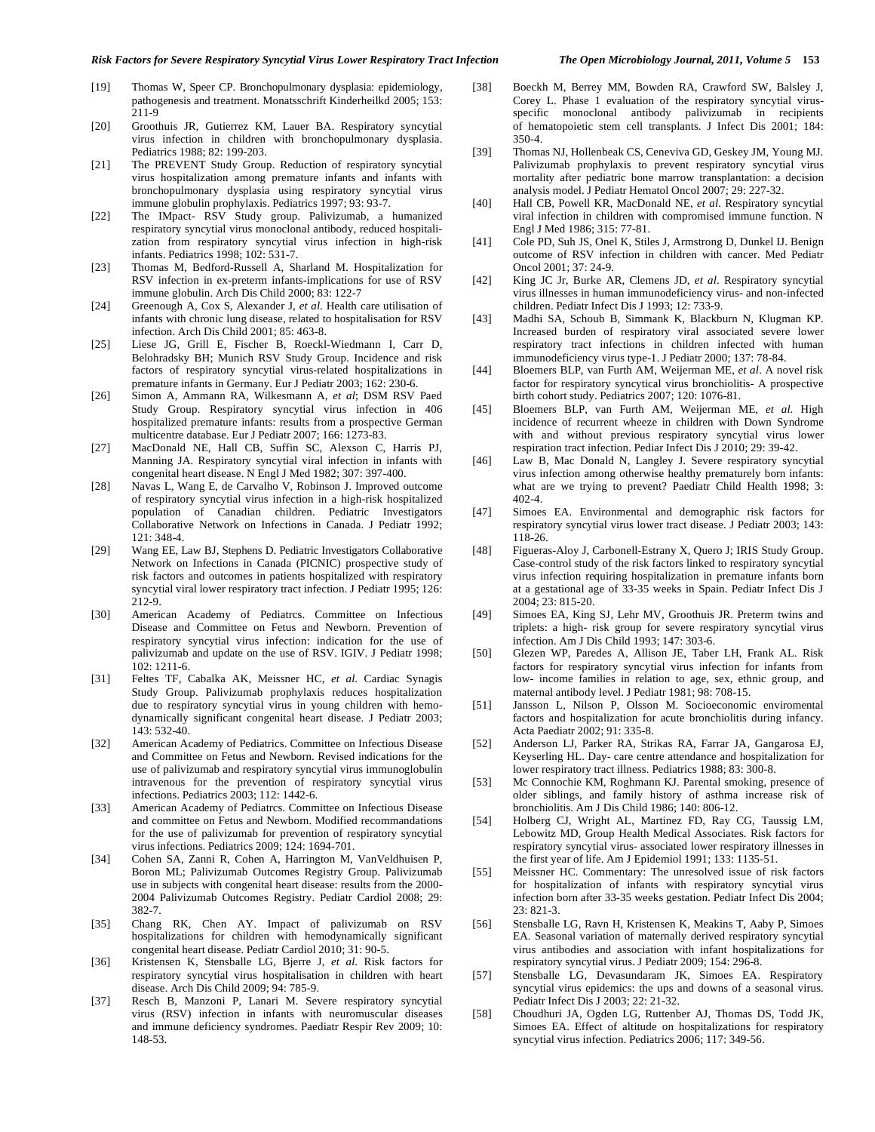- [19] Thomas W, Speer CP. Bronchopulmonary dysplasia: epidemiology, pathogenesis and treatment. Monatsschrift Kinderheilkd 2005; 153: 211-9
- [20] Groothuis JR, Gutierrez KM, Lauer BA. Respiratory syncytial virus infection in children with bronchopulmonary dysplasia. Pediatrics 1988; 82: 199-203.
- [21] The PREVENT Study Group. Reduction of respiratory syncytial virus hospitalization among premature infants and infants with bronchopulmonary dysplasia using respiratory syncytial virus immune globulin prophylaxis. Pediatrics 1997; 93: 93-7.
- [22] The IMpact- RSV Study group. Palivizumab, a humanized respiratory syncytial virus monoclonal antibody, reduced hospitalization from respiratory syncytial virus infection in high-risk infants. Pediatrics 1998; 102: 531-7.
- [23] Thomas M, Bedford-Russell A, Sharland M. Hospitalization for RSV infection in ex-preterm infants-implications for use of RSV immune globulin. Arch Dis Child 2000; 83: 122-7
- [24] Greenough A, Cox S, Alexander J, *et al*. Health care utilisation of infants with chronic lung disease, related to hospitalisation for RSV infection. Arch Dis Child 2001; 85: 463-8.
- [25] Liese JG, Grill E, Fischer B, Roeckl-Wiedmann I, Carr D, Belohradsky BH; Munich RSV Study Group. Incidence and risk factors of respiratory syncytial virus-related hospitalizations in premature infants in Germany. Eur J Pediatr 2003; 162: 230-6.
- [26] Simon A, Ammann RA, Wilkesmann A, *et al*; DSM RSV Paed Study Group. Respiratory syncytial virus infection in 406 hospitalized premature infants: results from a prospective German multicentre database. Eur J Pediatr 2007; 166: 1273-83.
- [27] MacDonald NE, Hall CB, Suffin SC, Alexson C, Harris PJ, Manning JA. Respiratory syncytial viral infection in infants with congenital heart disease. N Engl J Med 1982; 307: 397-400.
- [28] Navas L, Wang E, de Carvalho V, Robinson J. Improved outcome of respiratory syncytial virus infection in a high-risk hospitalized population of Canadian children. Pediatric Investigators Collaborative Network on Infections in Canada. J Pediatr 1992; 121: 348-4.
- [29] Wang EE, Law BJ, Stephens D. Pediatric Investigators Collaborative Network on Infections in Canada (PICNIC) prospective study of risk factors and outcomes in patients hospitalized with respiratory syncytial viral lower respiratory tract infection. J Pediatr 1995; 126: 212-9.
- [30] American Academy of Pediatrcs. Committee on Infectious Disease and Committee on Fetus and Newborn. Prevention of respiratory syncytial virus infection: indication for the use of palivizumab and update on the use of RSV. IGIV. J Pediatr 1998; 102: 1211-6.
- [31] Feltes TF, Cabalka AK, Meissner HC, *et al*. Cardiac Synagis Study Group. Palivizumab prophylaxis reduces hospitalization due to respiratory syncytial virus in young children with hemodynamically significant congenital heart disease. J Pediatr 2003; 143: 532-40.
- [32] American Academy of Pediatrics. Committee on Infectious Disease and Committee on Fetus and Newborn. Revised indications for the use of palivizumab and respiratory syncytial virus immunoglobulin intravenous for the prevention of respiratory syncytial virus infections. Pediatrics 2003; 112: 1442-6.
- [33] American Academy of Pediatrcs. Committee on Infectious Disease and committee on Fetus and Newborn. Modified recommandations for the use of palivizumab for prevention of respiratory syncytial virus infections. Pediatrics 2009; 124: 1694-701.
- [34] Cohen SA, Zanni R, Cohen A, Harrington M, VanVeldhuisen P, Boron ML; Palivizumab Outcomes Registry Group. Palivizumab use in subjects with congenital heart disease: results from the 2000- 2004 Palivizumab Outcomes Registry. Pediatr Cardiol 2008; 29: 382-7.
- [35] Chang RK, Chen AY. Impact of palivizumab on RSV hospitalizations for children with hemodynamically significant congenital heart disease. Pediatr Cardiol 2010; 31: 90-5.
- [36] Kristensen K, Stensballe LG, Bjerre J, *et al*. Risk factors for respiratory syncytial virus hospitalisation in children with heart disease. Arch Dis Child 2009; 94: 785-9.
- [37] Resch B, Manzoni P, Lanari M. Severe respiratory syncytial virus (RSV) infection in infants with neuromuscular diseases and immune deficiency syndromes. Paediatr Respir Rev 2009; 10: 148-53.
- [38] Boeckh M, Berrey MM, Bowden RA, Crawford SW, Balsley J,
- Corey L. Phase 1 evaluation of the respiratory syncytial virusspecific monoclonal antibody palivizumab in recipients of hematopoietic stem cell transplants. J Infect Dis 2001; 184: 350-4.
- [39] Thomas NJ, Hollenbeak CS, Ceneviva GD, Geskey JM, Young MJ. Palivizumab prophylaxis to prevent respiratory syncytial virus mortality after pediatric bone marrow transplantation: a decision analysis model. J Pediatr Hematol Oncol 2007; 29: 227-32.
- [40] Hall CB, Powell KR, MacDonald NE, *et al*. Respiratory syncytial viral infection in children with compromised immune function. N Engl J Med 1986; 315: 77-81.
- [41] Cole PD, Suh JS, Onel K, Stiles J, Armstrong D, Dunkel IJ. Benign outcome of RSV infection in children with cancer. Med Pediatr Oncol 2001; 37: 24-9.
- [42] King JC Jr, Burke AR, Clemens JD, *et al*. Respiratory syncytial virus illnesses in human immunodeficiency virus- and non-infected children. Pediatr Infect Dis J 1993; 12: 733-9.
- [43] Madhi SA, Schoub B, Simmank K, Blackburn N, Klugman KP. Increased burden of respiratory viral associated severe lower respiratory tract infections in children infected with human immunodeficiency virus type-1. J Pediatr 2000; 137: 78-84.
- [44] Bloemers BLP, van Furth AM, Weijerman ME, *et al*. A novel risk factor for respiratory syncytical virus bronchiolitis- A prospective birth cohort study. Pediatrics 2007; 120: 1076-81.
- [45] Bloemers BLP, van Furth AM, Weijerman ME, *et al*. High incidence of recurrent wheeze in children with Down Syndrome with and without previous respiratory syncytial virus lower respiration tract infection. Pediar Infect Dis J 2010; 29: 39-42.
- [46] Law B, Mac Donald N, Langley J. Severe respiratory syncytial virus infection among otherwise healthy prematurely born infants: what are we trying to prevent? Paediatr Child Health 1998; 3: 402-4.
- [47] Simoes EA. Environmental and demographic risk factors for respiratory syncytial virus lower tract disease. J Pediatr 2003; 143: 118-26.
- [48] Figueras-Aloy J, Carbonell-Estrany X, Quero J; IRIS Study Group. Case-control study of the risk factors linked to respiratory syncytial virus infection requiring hospitalization in premature infants born at a gestational age of 33-35 weeks in Spain. Pediatr Infect Dis J 2004; 23: 815-20.
- [49] Simoes EA, King SJ, Lehr MV, Groothuis JR. Preterm twins and triplets: a high- risk group for severe respiratory syncytial virus infection. Am J Dis Child 1993; 147: 303-6.
- [50] Glezen WP, Paredes A, Allison JE, Taber LH, Frank AL. Risk factors for respiratory syncytial virus infection for infants from low- income families in relation to age, sex, ethnic group, and maternal antibody level. J Pediatr 1981; 98: 708-15.
- [51] Jansson L, Nilson P, Olsson M. Socioeconomic enviromental factors and hospitalization for acute bronchiolitis during infancy. Acta Paediatr 2002; 91: 335-8.
- [52] Anderson LJ, Parker RA, Strikas RA, Farrar JA, Gangarosa EJ, Keyserling HL. Day- care centre attendance and hospitalization for lower respiratory tract illness. Pediatrics 1988; 83: 300-8.
- [53] Mc Connochie KM, Roghmann KJ. Parental smoking, presence of older siblings, and family history of asthma increase risk of bronchiolitis. Am J Dis Child 1986; 140: 806-12.
- [54] Holberg CJ, Wright AL, Martinez FD, Ray CG, Taussig LM, Lebowitz MD, Group Health Medical Associates. Risk factors for respiratory syncytial virus- associated lower respiratory illnesses in the first year of life. Am J Epidemiol 1991; 133: 1135-51.
- [55] Meissner HC. Commentary: The unresolved issue of risk factors for hospitalization of infants with respiratory syncytial virus infection born after 33-35 weeks gestation. Pediatr Infect Dis 2004;  $23: 821 - 3$
- [56] Stensballe LG, Ravn H, Kristensen K, Meakins T, Aaby P, Simoes EA. Seasonal variation of maternally derived respiratory syncytial virus antibodies and association with infant hospitalizations for respiratory syncytial virus. J Pediatr 2009; 154: 296-8.
- [57] Stensballe LG, Devasundaram JK, Simoes EA. Respiratory syncytial virus epidemics: the ups and downs of a seasonal virus. Pediatr Infect Dis J 2003; 22: 21-32.
- [58] Choudhuri JA, Ogden LG, Ruttenber AJ, Thomas DS, Todd JK, Simoes EA. Effect of altitude on hospitalizations for respiratory syncytial virus infection. Pediatrics 2006; 117: 349-56.